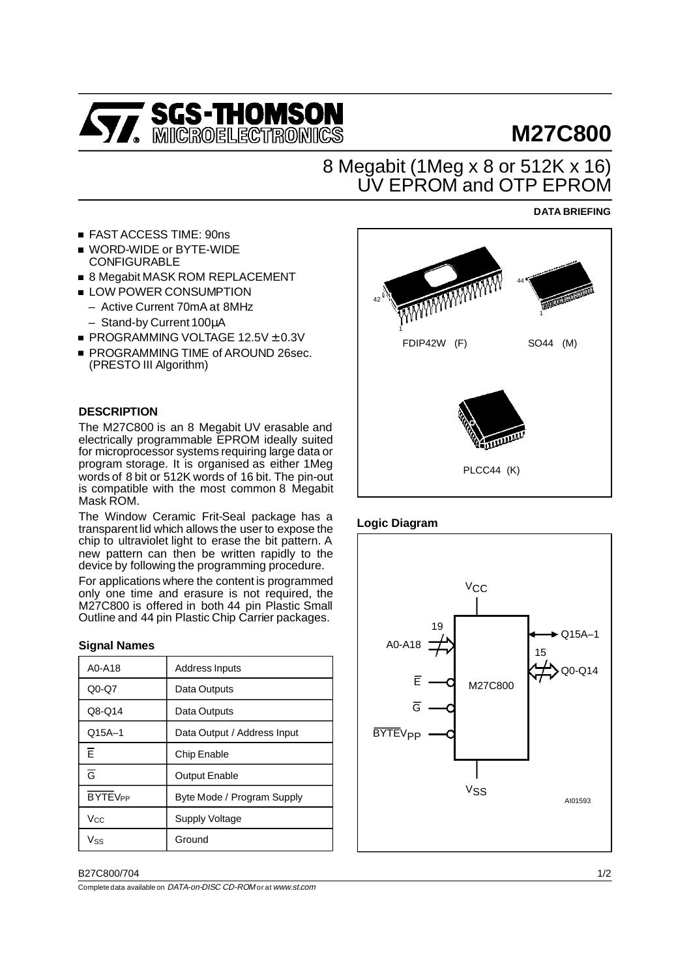

# **M27C800**

# 8 Megabit (1Meg x 8 or 512K x 16) UV EPROM and OTP EPROM

#### ■ FAST ACCESS TIME: 90ns

- WORD-WIDE or BYTE-WIDE CONFIGURABLE
- 8 Megabit MASK ROM REPLACEMENT
- **LOW POWER CONSUMPTION** 
	- Active Current 70mA at 8MHz
	- Stand-by Current 100µA
- $\blacksquare$  PROGRAMMING VOLTAGE 12.5V  $\pm$  0.3V
- **PROGRAMMING TIME of AROUND 26sec.** (PRESTO III Algorithm)

## **DESCRIPTION**

The M27C800 is an 8 Megabit UV erasable and electrically programmable EPROM ideally suited for microprocessor systems requiring large data or program storage. It is organised as either 1Meg words of 8 bit or 512K words of 16 bit. The pin-out is compatible with the most common 8 Megabit Mask ROM.

The Window Ceramic Frit-Seal package has a transparent lid which allows the user to expose the chip to ultraviolet light to erase the bit pattern. A new pattern can then be written rapidly to the device by following the programming procedure.

For applications where the content is programmed only one time and erasure is not required, the M27C800 is offered in both 44 pin Plastic Small Outline and 44 pin Plastic Chip Carrier packages.

#### **Signal Names**

| A0-A18                    | <b>Address Inputs</b>       |
|---------------------------|-----------------------------|
| $Q0-Q7$                   | Data Outputs                |
| Q8-Q14                    | Data Outputs                |
| $Q15A-1$                  | Data Output / Address Input |
| Ē                         | Chip Enable                 |
| $\overline{\mathsf{G}}$   | <b>Output Enable</b>        |
| <b>BYTEV<sub>PP</sub></b> | Byte Mode / Program Supply  |
| $V_{\rm CC}$              | Supply Voltage              |
| $V_{SS}$                  | Ground                      |

#### B27C800/704 1/2

Completedata available on DATA-on-DISC CD-ROM orat www.st.com



#### **Logic Diagram**



## **DATA BRIEFING**